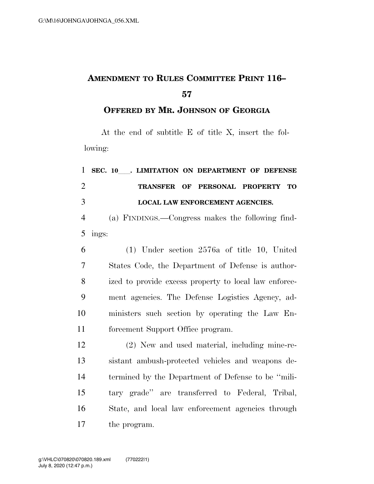## **AMENDMENT TO RULES COMMITTEE PRINT 116–**

**OFFERED BY MR. JOHNSON OF GEORGIA**

At the end of subtitle E of title X, insert the following:

| $\mathbf{1}$   | SEC. 10 . LIMITATION ON DEPARTMENT OF DEFENSE         |
|----------------|-------------------------------------------------------|
| $\overline{2}$ | TRANSFER OF PERSONAL PROPERTY<br><b>TO</b>            |
| 3              | <b>LOCAL LAW ENFORCEMENT AGENCIES.</b>                |
| $\overline{4}$ | (a) FINDINGS.—Congress makes the following find-      |
| 5              | ings:                                                 |
| 6              | $(1)$ Under section 2576a of title 10, United         |
| $\overline{7}$ | States Code, the Department of Defense is author-     |
| 8              | ized to provide excess property to local law enforce- |
| 9              | ment agencies. The Defense Logistics Agency, ad-      |
| 10             | ministers such section by operating the Law En-       |
| 11             | forcement Support Office program.                     |
| 12             | (2) New and used material, including mine-re-         |
| 13             | sistant ambush-protected vehicles and weapons de-     |
| 14             | termined by the Department of Defense to be "mili-    |
| 15             | tary grade" are transferred to Federal, Tribal,       |
| 16             | State, and local law enforcement agencies through     |
| 17             | the program.                                          |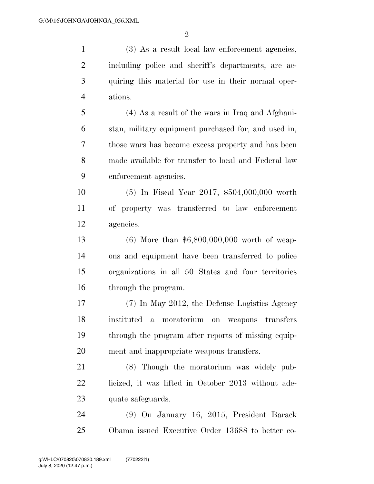$\mathfrak{D}$ 

 (3) As a result local law enforcement agencies, including police and sheriff's departments, are ac- quiring this material for use in their normal oper- ations. (4) As a result of the wars in Iraq and Afghani- stan, military equipment purchased for, and used in, those wars has become excess property and has been made available for transfer to local and Federal law enforcement agencies. (5) In Fiscal Year 2017, \$504,000,000 worth of property was transferred to law enforcement agencies. (6) More than \$6,800,000,000 worth of weap- ons and equipment have been transferred to police organizations in all 50 States and four territories through the program. (7) In May 2012, the Defense Logistics Agency instituted a moratorium on weapons transfers through the program after reports of missing equip-ment and inappropriate weapons transfers.

 (8) Though the moratorium was widely pub- licized, it was lifted in October 2013 without ade-23 quate safeguards.

 (9) On January 16, 2015, President Barack Obama issued Executive Order 13688 to better co-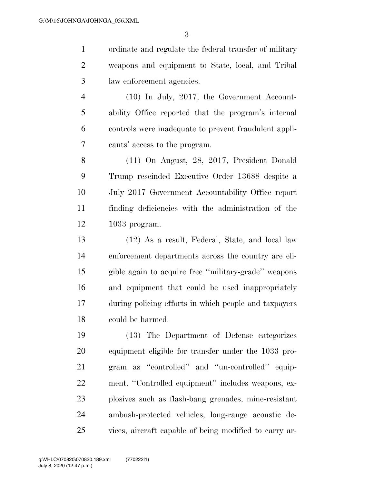ordinate and regulate the federal transfer of military weapons and equipment to State, local, and Tribal law enforcement agencies.

 (10) In July, 2017, the Government Account- ability Office reported that the program's internal controls were inadequate to prevent fraudulent appli-cants' access to the program.

 (11) On August, 28, 2017, President Donald Trump rescinded Executive Order 13688 despite a July 2017 Government Accountability Office report finding deficiencies with the administration of the 1033 program.

 (12) As a result, Federal, State, and local law enforcement departments across the country are eli- gible again to acquire free ''military-grade'' weapons and equipment that could be used inappropriately during policing efforts in which people and taxpayers could be harmed.

 (13) The Department of Defense categorizes equipment eligible for transfer under the 1033 pro- gram as ''controlled'' and ''un-controlled'' equip-22 ment. "Controlled equipment" includes weapons, ex- plosives such as flash-bang grenades, mine-resistant ambush-protected vehicles, long-range acoustic de-vices, aircraft capable of being modified to carry ar-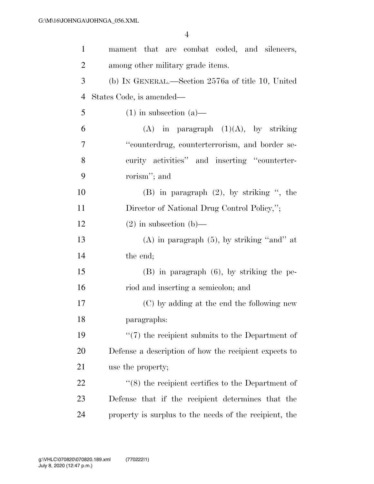| $\mathbf{1}$ | mament that are combat coded, and silencers,             |
|--------------|----------------------------------------------------------|
| 2            | among other military grade items.                        |
| 3            | (b) IN GENERAL.—Section 2576a of title 10, United        |
| 4            | States Code, is amended—                                 |
| 5            | $(1)$ in subsection $(a)$ —                              |
| 6            | $(A)$ in paragraph $(1)(A)$ , by striking                |
| 7            | "counterdrug, counterterrorism, and border se-           |
| 8            | curity activities" and inserting "counterter-            |
| 9            | rorism"; and                                             |
| 10           | $(B)$ in paragraph $(2)$ , by striking ", the            |
| 11           | Director of National Drug Control Policy,";              |
| 12           | $(2)$ in subsection (b)—                                 |
| 13           | $(A)$ in paragraph $(5)$ , by striking "and" at          |
| 14           | the end;                                                 |
| 15           | $(B)$ in paragraph $(6)$ , by striking the pe-           |
| 16           | riod and inserting a semicolon; and                      |
| 17           | (C) by adding at the end the following new               |
| 18           | paragraphs:                                              |
| 19           | $\lq(7)$ the recipient submits to the Department of      |
| 20           | Defense a description of how the recipient expects to    |
| 21           | use the property;                                        |
| 22           | $\cdot$ (8) the recipient certifies to the Department of |
| 23           | Defense that if the recipient determines that the        |
| 24           | property is surplus to the needs of the recipient, the   |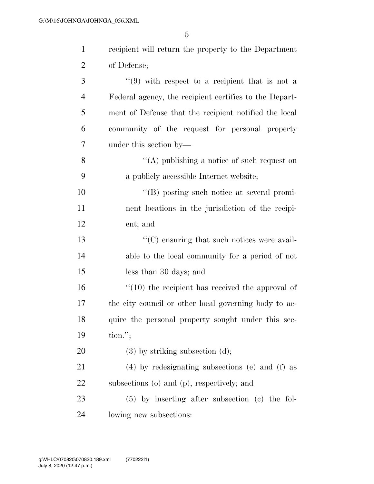| $\mathbf{1}$   | recipient will return the property to the Department   |
|----------------|--------------------------------------------------------|
| $\overline{2}$ | of Defense;                                            |
| 3              | $(9)$ with respect to a recipient that is not a        |
| $\overline{4}$ | Federal agency, the recipient certifies to the Depart- |
| 5              | ment of Defense that the recipient notified the local  |
| 6              | community of the request for personal property         |
| 7              | under this section by—                                 |
| $8\,$          | "(A) publishing a notice of such request on            |
| 9              | a publicly accessible Internet website;                |
| 10             | "(B) posting such notice at several promi-             |
| 11             | nent locations in the jurisdiction of the recipi-      |
| 12             | ent; and                                               |
| 13             | $\lq\lq$ (C) ensuring that such notices were avail-    |
| 14             | able to the local community for a period of not        |
| 15             | less than 30 days; and                                 |
| 16             | $``(10)$ the recipient has received the approval of    |
| 17             | the city council or other local governing body to ac-  |
| 18             | quire the personal property sought under this sec-     |
| 19             | $\{tion.";\}$                                          |
| 20             | $(3)$ by striking subsection $(d)$ ;                   |
| 21             | $(4)$ by redesignating subsections (e) and (f) as      |
| 22             | subsections (o) and (p), respectively; and             |
| 23             | $(5)$ by inserting after subsection (c) the fol-       |
| 24             | lowing new subsections:                                |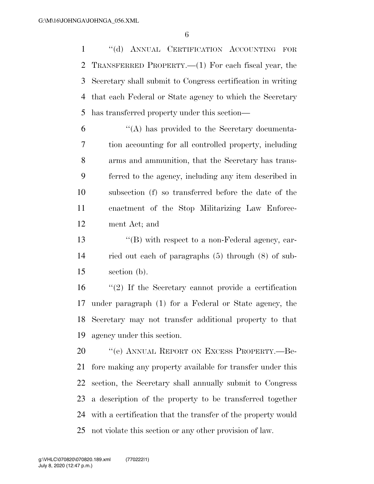''(d) ANNUAL CERTIFICATION ACCOUNTING FOR TRANSFERRED PROPERTY.—(1) For each fiscal year, the Secretary shall submit to Congress certification in writing that each Federal or State agency to which the Secretary has transferred property under this section—

 ''(A) has provided to the Secretary documenta- tion accounting for all controlled property, including arms and ammunition, that the Secretary has trans- ferred to the agency, including any item described in subsection (f) so transferred before the date of the enactment of the Stop Militarizing Law Enforce-ment Act; and

 ''(B) with respect to a non-Federal agency, car- ried out each of paragraphs (5) through (8) of sub-section (b).

 ''(2) If the Secretary cannot provide a certification under paragraph (1) for a Federal or State agency, the Secretary may not transfer additional property to that agency under this section.

20 "(e) ANNUAL REPORT ON EXCESS PROPERTY.—Be- fore making any property available for transfer under this section, the Secretary shall annually submit to Congress a description of the property to be transferred together with a certification that the transfer of the property would not violate this section or any other provision of law.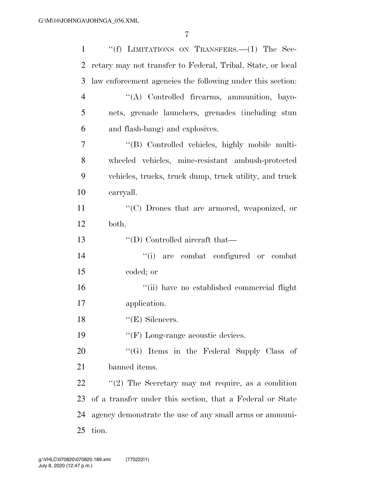| $\mathbf{1}$   | "(f) LIMITATIONS ON TRANSFERS. $-(1)$ The Sec-              |
|----------------|-------------------------------------------------------------|
| $\overline{2}$ | retary may not transfer to Federal, Tribal, State, or local |
| 3              | law enforcement agencies the following under this section.  |
| $\overline{4}$ | "(A) Controlled firearms, ammunition, bayo-                 |
| 5              | nets, grenade launchers, grenades (including stun           |
| 6              | and flash-bang) and explosives.                             |
| 7              | "(B) Controlled vehicles, highly mobile multi-              |
| 8              | wheeled vehicles, mine-resistant ambush-protected           |
| 9              | vehicles, trucks, truck dump, truck utility, and truck      |
| 10             | carryall.                                                   |
| 11             | "(C) Drones that are armored, weaponized, or                |
| 12             | both.                                                       |
| 13             | $\lq\lq$ (D) Controlled aircraft that—                      |
| 14             | "(i) are combat configured or combat                        |
| 15             | coded; or                                                   |
| 16             | "(ii) have no established commercial flight                 |
| 17             | application.                                                |
| 18             | $"$ (E) Silencers.                                          |
| 19             | $\lq\lq(F)$ Long-range acoustic devices.                    |
| 20             | "(G) Items in the Federal Supply Class of                   |
| 21             | banned items.                                               |
| 22             | "(2) The Secretary may not require, as a condition          |
| 23             | of a transfer under this section, that a Federal or State   |
| 24             | agency demonstrate the use of any small arms or ammuni-     |
| 25             | tion.                                                       |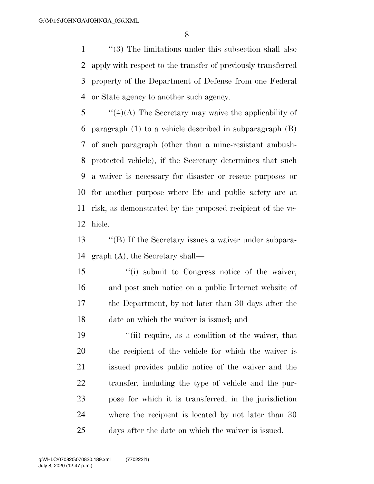''(3) The limitations under this subsection shall also apply with respect to the transfer of previously transferred property of the Department of Defense from one Federal or State agency to another such agency.

 ''(4)(A) The Secretary may waive the applicability of paragraph (1) to a vehicle described in subparagraph (B) of such paragraph (other than a mine-resistant ambush- protected vehicle), if the Secretary determines that such a waiver is necessary for disaster or rescue purposes or for another purpose where life and public safety are at risk, as demonstrated by the proposed recipient of the ve-hicle.

 ''(B) If the Secretary issues a waiver under subpara-graph (A), the Secretary shall—

 ''(i) submit to Congress notice of the waiver, and post such notice on a public Internet website of the Department, by not later than 30 days after the date on which the waiver is issued; and

19 ''(ii) require, as a condition of the waiver, that the recipient of the vehicle for which the waiver is issued provides public notice of the waiver and the transfer, including the type of vehicle and the pur- pose for which it is transferred, in the jurisdiction where the recipient is located by not later than 30 days after the date on which the waiver is issued.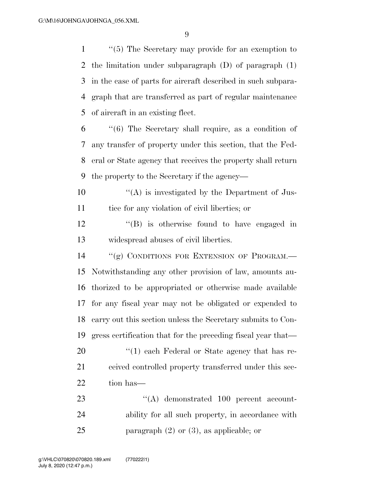''(5) The Secretary may provide for an exemption to the limitation under subparagraph (D) of paragraph (1) in the case of parts for aircraft described in such subpara- graph that are transferred as part of regular maintenance of aircraft in an existing fleet.

 ''(6) The Secretary shall require, as a condition of any transfer of property under this section, that the Fed- eral or State agency that receives the property shall return the property to the Secretary if the agency—

 $\mathcal{L}(\mathbf{A})$  is investigated by the Department of Jus-tice for any violation of civil liberties; or

12 ''(B) is otherwise found to have engaged in widespread abuses of civil liberties.

14 "(g) CONDITIONS FOR EXTENSION OF PROGRAM.— Notwithstanding any other provision of law, amounts au- thorized to be appropriated or otherwise made available for any fiscal year may not be obligated or expended to carry out this section unless the Secretary submits to Con- gress certification that for the preceding fiscal year that—  $\frac{1}{20}$  (1) each Federal or State agency that has re-21 ceived controlled property transferred under this sec-22 tion has—

23  $\cdot$  (A) demonstrated 100 percent account- ability for all such property, in accordance with 25 paragraph (2) or (3), as applicable; or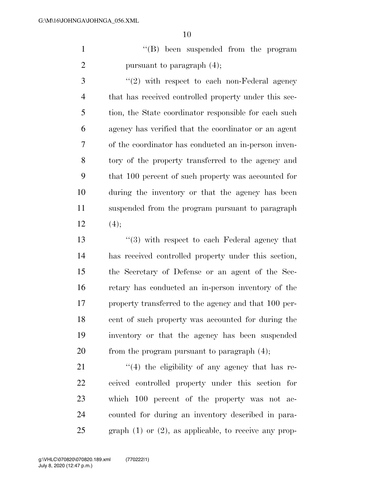1 ''(B) been suspended from the program 2 pursuant to paragraph  $(4)$ ;

 ''(2) with respect to each non-Federal agency that has received controlled property under this sec- tion, the State coordinator responsible for each such agency has verified that the coordinator or an agent of the coordinator has conducted an in-person inven- tory of the property transferred to the agency and that 100 percent of such property was accounted for during the inventory or that the agency has been suspended from the program pursuant to paragraph 12  $(4)$ ;

 ''(3) with respect to each Federal agency that has received controlled property under this section, the Secretary of Defense or an agent of the Sec- retary has conducted an in-person inventory of the property transferred to the agency and that 100 per- cent of such property was accounted for during the inventory or that the agency has been suspended 20 from the program pursuant to paragraph  $(4)$ ;

 $\frac{1}{2}$  (4) the eligibility of any agency that has re- ceived controlled property under this section for which 100 percent of the property was not ac- counted for during an inventory described in para-graph (1) or (2), as applicable, to receive any prop-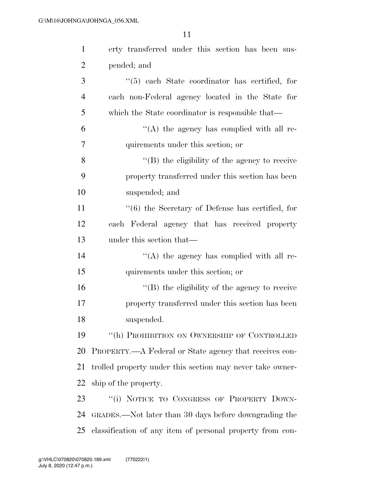| $\mathbf{1}$   | erty transferred under this section has been sus-         |
|----------------|-----------------------------------------------------------|
| $\overline{2}$ | pended; and                                               |
| 3              | $\lq(5)$ each State coordinator has certified, for        |
| $\overline{4}$ | each non-Federal agency located in the State for          |
| 5              | which the State coordinator is responsible that—          |
| 6              | "(A) the agency has complied with all re-                 |
| 7              | quirements under this section; or                         |
| 8              | $\lq\lq (B)$ the eligibility of the agency to receive     |
| 9              | property transferred under this section has been          |
| 10             | suspended; and                                            |
| 11             | "(6) the Secretary of Defense has certified, for          |
| 12             | each Federal agency that has received property            |
| 13             | under this section that—                                  |
| 14             | $\lq\lq$ the agency has complied with all re-             |
| 15             | quirements under this section; or                         |
| 16             | $\lq\lq (B)$ the eligibility of the agency to receive     |
| 17             | property transferred under this section has been          |
| 18             | suspended.                                                |
| 19             | "(h) PROHIBITION ON OWNERSHIP OF CONTROLLED               |
| 20             | PROPERTY.—A Federal or State agency that receives con-    |
| 21             | trolled property under this section may never take owner- |
| 22             | ship of the property.                                     |
| 23             | "(i) NOTICE TO CONGRESS OF PROPERTY DOWN-                 |
| 24             | GRADES.—Not later than 30 days before downgrading the     |
| 25             | classification of any item of personal property from con- |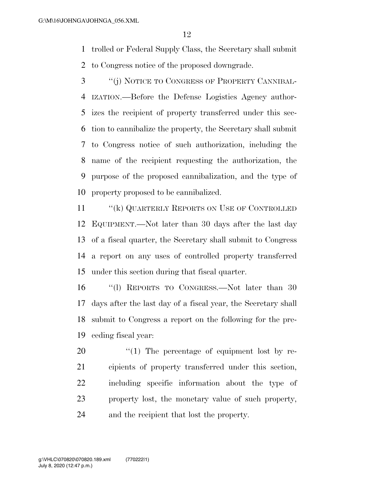trolled or Federal Supply Class, the Secretary shall submit

to Congress notice of the proposed downgrade.

 ''(j) NOTICE TO CONGRESS OF PROPERTY CANNIBAL- IZATION.—Before the Defense Logistics Agency author- izes the recipient of property transferred under this sec- tion to cannibalize the property, the Secretary shall submit to Congress notice of such authorization, including the name of the recipient requesting the authorization, the purpose of the proposed cannibalization, and the type of property proposed to be cannibalized.

11 "(k) QUARTERLY REPORTS ON USE OF CONTROLLED EQUIPMENT.—Not later than 30 days after the last day of a fiscal quarter, the Secretary shall submit to Congress a report on any uses of controlled property transferred under this section during that fiscal quarter.

 ''(l) REPORTS TO CONGRESS.—Not later than 30 days after the last day of a fiscal year, the Secretary shall submit to Congress a report on the following for the pre-ceding fiscal year:

  $\qquad$   $\qquad$   $\qquad$   $\qquad$   $\qquad$  The percentage of equipment lost by re- cipients of property transferred under this section, including specific information about the type of property lost, the monetary value of such property, and the recipient that lost the property.